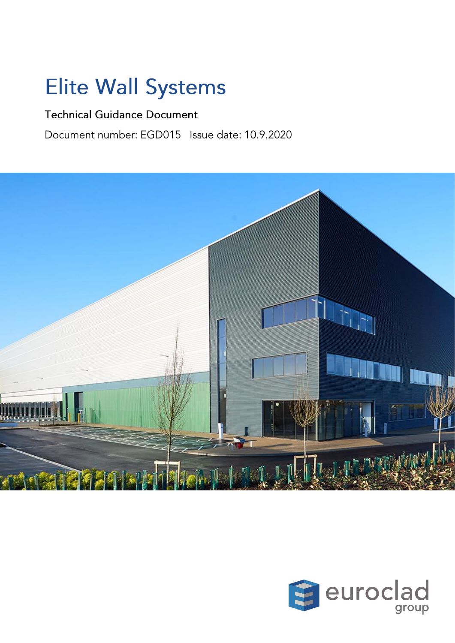# **Elite Wall Systems**

### **Technical Guidance Document**

Document number: EGD015 Issue date: 10.9.2020



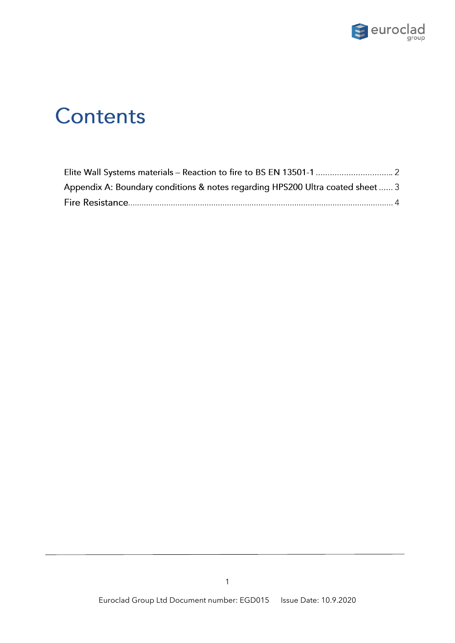

# Contents

| Appendix A: Boundary conditions & notes regarding HPS200 Ultra coated sheet  3 |  |
|--------------------------------------------------------------------------------|--|
|                                                                                |  |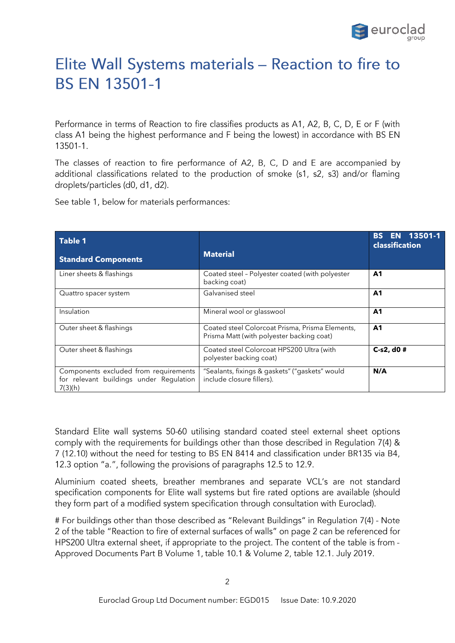

## Elite Wall Systems materials - Reaction to fire to **BS EN 13501-1**

Performance in terms of Reaction to fire classifies products as A1, A2, B, C, D, E or F (with class A1 being the highest performance and F being the lowest) in accordance with BS EN 13501-1.

The classes of reaction to fire performance of A2, B, C, D and E are accompanied by additional classifications related to the production of smoke (s1, s2, s3) and/or flaming droplets/particles (d0, d1, d2).

See table 1, below for materials performances:

| <b>Table 1</b>                                                                              |                                                                                              | EN 13501-1<br>BS.<br>classification |
|---------------------------------------------------------------------------------------------|----------------------------------------------------------------------------------------------|-------------------------------------|
| <b>Standard Components</b>                                                                  | <b>Material</b>                                                                              |                                     |
| Liner sheets & flashings                                                                    | Coated steel - Polyester coated (with polyester<br>backing coat)                             | A <sub>1</sub>                      |
| Quattro spacer system                                                                       | Galvanised steel                                                                             | A1                                  |
| Insulation                                                                                  | Mineral wool or glasswool                                                                    | A <sub>1</sub>                      |
| Outer sheet & flashings                                                                     | Coated steel Colorcoat Prisma, Prisma Elements,<br>Prisma Matt (with polyester backing coat) | A <sub>1</sub>                      |
| Outer sheet & flashings                                                                     | Coated steel Colorcoat HPS200 Ultra (with<br>polyester backing coat)                         | $C-s2, d0#$                         |
| Components excluded from requirements<br>for relevant buildings under Regulation<br>7(3)(h) | "Sealants, fixings & gaskets" ("gaskets" would<br>include closure fillers).                  | N/A                                 |

Standard Elite wall systems 50-60 utilising standard coated steel external sheet options comply with the requirements for buildings other than those described in Regulation 7(4) & 7 (12.10) without the need for testing to BS EN 8414 and classification under BR135 via B4, 12.3 option "a.", following the provisions of paragraphs 12.5 to 12.9.

Aluminium coated sheets, breather membranes and separate VCL's are not standard specification components for Elite wall systems but fire rated options are available (should they form part of a modified system specification through consultation with Euroclad).

# For buildings other than those described as "Relevant Buildings" in Regulation 7(4) - Note 2 of the table "Reaction to fire of external surfaces of walls" on page 2 can be referenced for HPS200 Ultra external sheet, if appropriate to the project. The content of the table is from -Approved Documents Part B Volume 1, table 10.1 & Volume 2, table 12.1. July 2019.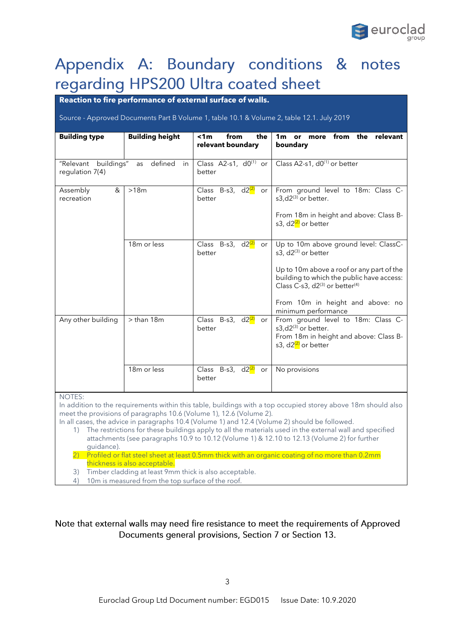

## Appendix A: Boundary conditions & notes regarding HPS200 Ultra coated sheet

#### **Reaction to fire performance of external surface of walls.**

Source - Approved Documents Part B Volume 1, table 10.1 & Volume 2, table 12.1. July 2019

| <b>Building type</b>                                     | <b>Building height</b>  | < 1m<br>from<br>the<br>relevant boundary      | 1 <sub>m</sub><br>from the<br>relevant<br>or more<br>boundary                                                                                                                                                                                                        |
|----------------------------------------------------------|-------------------------|-----------------------------------------------|----------------------------------------------------------------------------------------------------------------------------------------------------------------------------------------------------------------------------------------------------------------------|
| "Relevant buildings" as defined<br>in<br>regulation 7(4) |                         | Class $A2-s1$ , $d0^{(1)}$ or<br>better       | Class A2-s1, d0 <sup>(1)</sup> or better                                                                                                                                                                                                                             |
| &<br>Assembly<br>recreation                              | >18m                    | Class B-s3, d2 <sup>(2)</sup><br>or<br>better | From ground level to 18m: Class C-<br>s3, $d2^{(3)}$ or better.<br>From 18m in height and above: Class B-<br>s3, d2 <sup>(2)</sup> or better                                                                                                                         |
|                                                          | 18 <sub>m</sub> or less | Class B-s3, d2 <sup>(2)</sup><br>or<br>better | Up to 10m above ground level: ClassC-<br>s3, d2(3) or better<br>Up to 10m above a roof or any part of the<br>building to which the public have access:<br>Class C-s3, $d2^{(3)}$ or better <sup>(4)</sup><br>From 10m in height and above: no<br>minimum performance |
| Any other building                                       | $>$ than 18 $m$         | Class B-s3, d2 <sup>(2)</sup><br>or<br>better | From ground level to 18m: Class C-<br>s3,d2(3) or better.<br>From 18m in height and above: Class B-<br>s3, d2 <sup>(2)</sup> or better                                                                                                                               |
| <b>NOTES:</b>                                            | 18m or less             | Class B-s3, d2 <sup>(2)</sup><br>or<br>better | No provisions                                                                                                                                                                                                                                                        |
|                                                          |                         |                                               | la addition to the requirements within this table. buildings with a ten commised sterey above 10m should also                                                                                                                                                        |

In addition to the requirements within this table, buildings with a top occupied storey above 18m should also meet the provisions of paragraphs 10.6 (Volume 1), 12.6 (Volume 2).

In all cases, the advice in paragraphs 10.4 (Volume 1) and 12.4 (Volume 2) should be followed.

1) The restrictions for these buildings apply to all the materials used in the external wall and specified attachments (see paragraphs 10.9 to 10.12 (Volume 1) & 12.10 to 12.13 (Volume 2) for further guidance).

2) Profiled or flat steel sheet at least 0.5mm thick with an organic coating of no more than 0.2mm thickness is also acceptable.

3) Timber cladding at least 9mm thick is also acceptable.

4) 10m is measured from the top surface of the roof.

#### Note that external walls may need fire resistance to meet the requirements of Approved Documents general provisions, Section 7 or Section 13.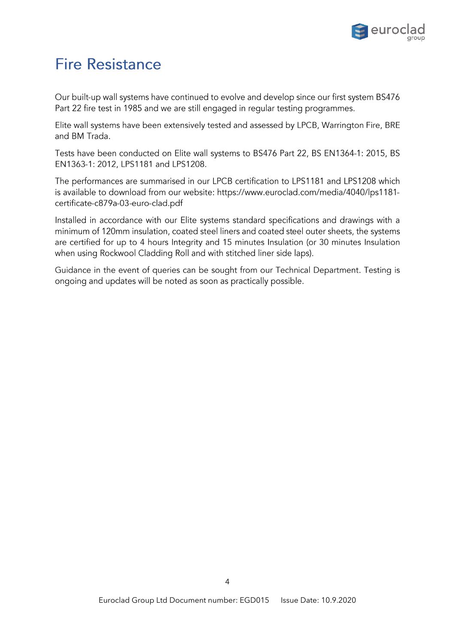

### <span id="page-4-0"></span>**Fire Resistance**

Our built-up wall systems have continued to evolve and develop since our first system BS476 Part 22 fire test in 1985 and we are still engaged in regular testing programmes.

Elite wall systems have been extensively tested and assessed by LPCB, Warrington Fire, BRE and BM Trada.

Tests have been conducted on Elite wall systems to BS476 Part 22, BS EN1364-1: 2015, BS EN1363-1: 2012, LPS1181 and LPS1208.

The performances are summarised in our LPCB certification to LPS1181 and LPS1208 which is available to download from our website: https://www.euroclad.com/media/4040/lps1181certificate-c879a-03-euro-clad.pdf

Installed in accordance with our Elite systems standard specifications and drawings with a minimum of 120mm insulation, coated steel liners and coated steel outer sheets, the systems are certified for up to 4 hours Integrity and 15 minutes Insulation (or 30 minutes Insulation when using Rockwool Cladding Roll and with stitched liner side laps).

Guidance in the event of queries can be sought from our Technical Department. Testing is ongoing and updates will be noted as soon as practically possible.